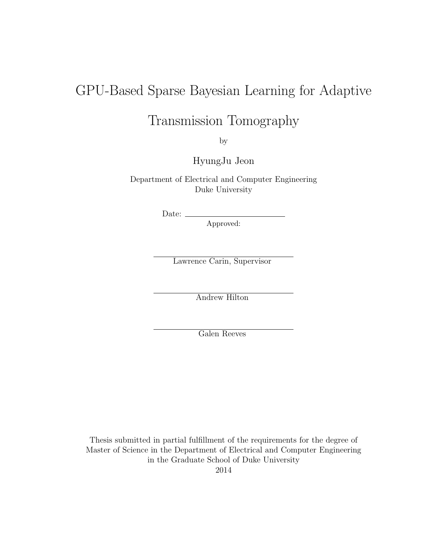## GPU-Based Sparse Bayesian Learning for Adaptive

Transmission Tomography

by

HyungJu Jeon

Department of Electrical and Computer Engineering Duke University

Date:  $\equiv$ 

Approved:

Lawrence Carin, Supervisor

Andrew Hilton

Galen Reeves

Thesis submitted in partial fulfillment of the requirements for the degree of Master of Science in the Department of Electrical and Computer Engineering in the Graduate School of Duke University

2014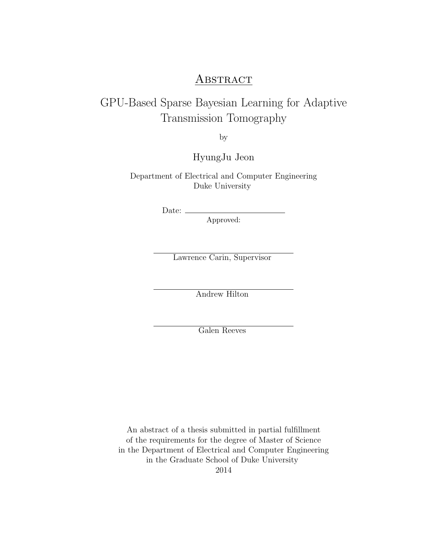#### **ABSTRACT**

### GPU-Based Sparse Bayesian Learning for Adaptive Transmission Tomography

by

HyungJu Jeon

Department of Electrical and Computer Engineering Duke University

 ${\it Date:} \begin{tabular}{l} \end{tabular}$ 

Approved:

Lawrence Carin, Supervisor

Andrew Hilton

Galen Reeves

An abstract of a thesis submitted in partial fulfillment of the requirements for the degree of Master of Science in the Department of Electrical and Computer Engineering in the Graduate School of Duke University

2014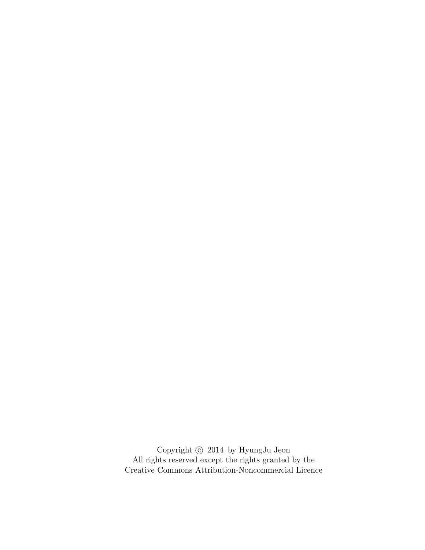Copyright  $\odot$  2014 by HyungJu Jeon All rights reserved except the rights granted by the [Creative Commons Attribution-Noncommercial Licence](http://creativecommons.org/licenses/by-nc/3.0/us/)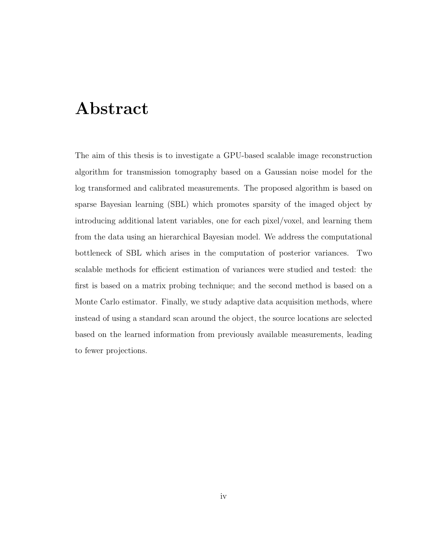## <span id="page-3-0"></span>Abstract

The aim of this thesis is to investigate a GPU-based scalable image reconstruction algorithm for transmission tomography based on a Gaussian noise model for the log transformed and calibrated measurements. The proposed algorithm is based on sparse Bayesian learning (SBL) which promotes sparsity of the imaged object by introducing additional latent variables, one for each pixel/voxel, and learning them from the data using an hierarchical Bayesian model. We address the computational bottleneck of SBL which arises in the computation of posterior variances. Two scalable methods for efficient estimation of variances were studied and tested: the first is based on a matrix probing technique; and the second method is based on a Monte Carlo estimator. Finally, we study adaptive data acquisition methods, where instead of using a standard scan around the object, the source locations are selected based on the learned information from previously available measurements, leading to fewer projections.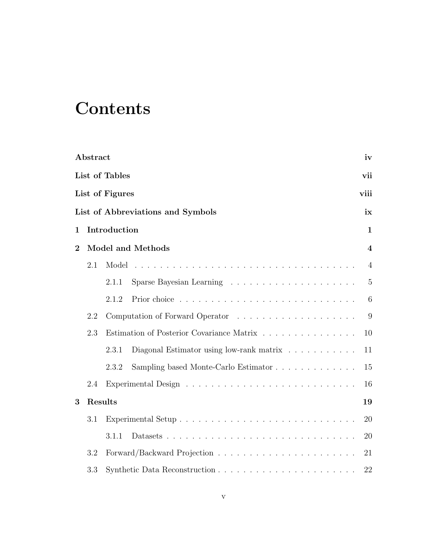## **Contents**

|                | Abstract      |                 |                                           | iv                      |  |  |  |  |
|----------------|---------------|-----------------|-------------------------------------------|-------------------------|--|--|--|--|
|                |               | List of Tables  |                                           | vii                     |  |  |  |  |
|                |               | List of Figures |                                           | viii                    |  |  |  |  |
|                |               |                 | List of Abbreviations and Symbols         | ix                      |  |  |  |  |
| $\mathbf{1}$   | Introduction  |                 |                                           |                         |  |  |  |  |
| $\overline{2}$ |               |                 | <b>Model and Methods</b>                  | $\overline{\mathbf{4}}$ |  |  |  |  |
|                | 2.1           |                 |                                           | $\overline{4}$          |  |  |  |  |
|                |               | 2.1.1           |                                           | $\overline{5}$          |  |  |  |  |
|                |               | 2.1.2           |                                           | 6                       |  |  |  |  |
|                | 2.2           |                 |                                           | 9                       |  |  |  |  |
|                | 2.3           |                 | Estimation of Posterior Covariance Matrix | 10                      |  |  |  |  |
|                |               | 2.3.1           | Diagonal Estimator using low-rank matrix  | 11                      |  |  |  |  |
|                |               | 2.3.2           | Sampling based Monte-Carlo Estimator      | 15                      |  |  |  |  |
|                | 2.4           |                 |                                           | 16                      |  |  |  |  |
| 3              | Results<br>19 |                 |                                           |                         |  |  |  |  |
|                | 3.1           |                 |                                           | 20                      |  |  |  |  |
|                |               | 3.1.1           |                                           | 20                      |  |  |  |  |
|                | 3.2           |                 |                                           | 21                      |  |  |  |  |
|                | 3.3           |                 |                                           | 22                      |  |  |  |  |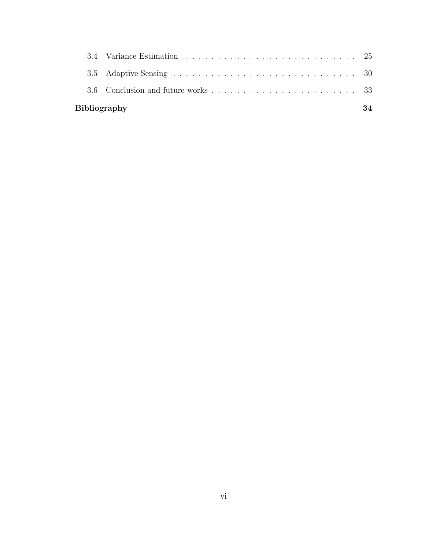| Bibliography |  |  |  |  |  |
|--------------|--|--|--|--|--|
|              |  |  |  |  |  |
|              |  |  |  |  |  |
|              |  |  |  |  |  |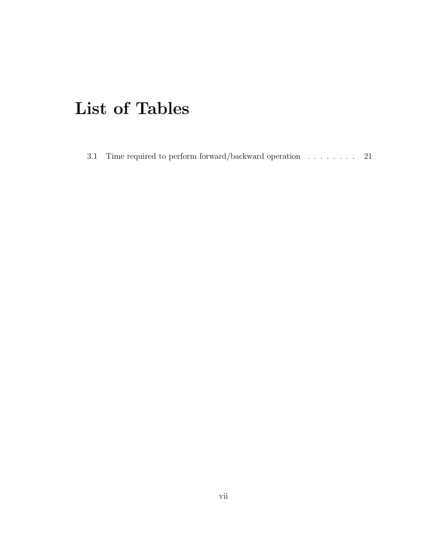## <span id="page-6-0"></span>List of Tables

|  | 3.1 Time required to perform forward/backward operation $\dots \dots$ 21 |  |  |  |  |  |  |
|--|--------------------------------------------------------------------------|--|--|--|--|--|--|
|--|--------------------------------------------------------------------------|--|--|--|--|--|--|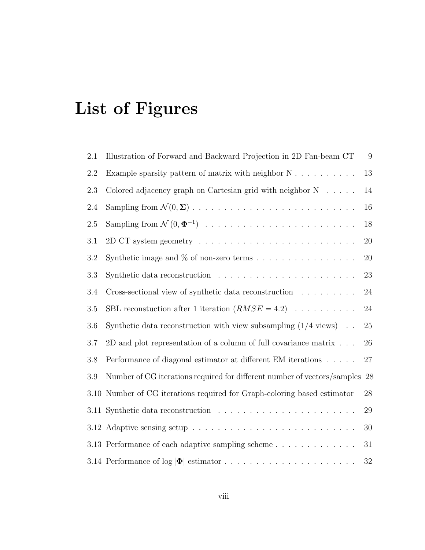## <span id="page-7-0"></span>List of Figures

| 2.1  | Illustration of Forward and Backward Projection in 2D Fan-beam CT                                      | 9      |
|------|--------------------------------------------------------------------------------------------------------|--------|
| 2.2  | Example sparsity pattern of matrix with neighbor $N \, . \, . \, . \, . \, . \, . \, . \, . \, . \, .$ | $13\,$ |
| 2.3  | Colored adjacency graph on Cartesian grid with neighbor $N \dots$ .                                    | 14     |
| 2.4  |                                                                                                        | 16     |
| 2.5  |                                                                                                        | $18\,$ |
| 3.1  |                                                                                                        | $20\,$ |
| 3.2  | Synthetic image and $\%$ of non-zero terms                                                             | $20\,$ |
| 3.3  |                                                                                                        | 23     |
| 3.4  | Cross-sectional view of synthetic data reconstruction $\ldots \ldots \ldots$                           | $24\,$ |
| 3.5  | SBL reconstuction after 1 iteration $(RMSE = 4.2)$                                                     | $24\,$ |
| 3.6  | Synthetic data reconstruction with view subsampling $(1/4 \text{ views})$                              | 25     |
| 3.7  | 2D and plot representation of a column of full covariance matrix $\ldots$ .                            | $26\,$ |
| 3.8  | Performance of diagonal estimator at different EM iterations                                           | $27\,$ |
| 3.9  | Number of CG iterations required for different number of vectors/samples 28                            |        |
| 3.10 | Number of CG iterations required for Graph-coloring based estimator                                    | 28     |
|      |                                                                                                        | $29\,$ |
|      |                                                                                                        | 30     |
|      | 3.13 Performance of each adaptive sampling scheme                                                      | 31     |
|      |                                                                                                        | 32     |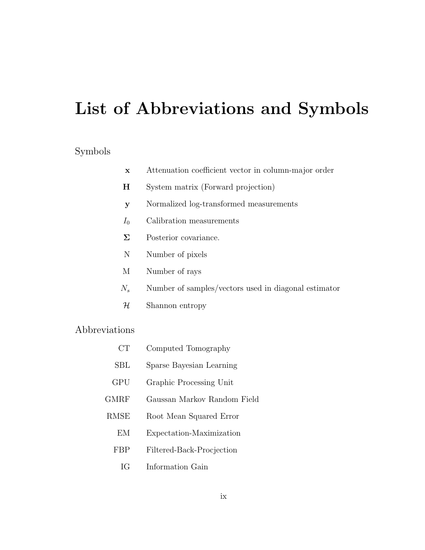## <span id="page-8-0"></span>List of Abbreviations and Symbols

### Symbols

| Attenuation coefficient vector in column-major order<br>$\mathbf{x}$ |                                                      |
|----------------------------------------------------------------------|------------------------------------------------------|
| H                                                                    | System matrix (Forward projection)                   |
| у                                                                    | Normalized log-transformed measurements              |
| $I_0$                                                                | Calibration measurements                             |
| $\Sigma$                                                             | Posterior covariance.                                |
| N                                                                    | Number of pixels                                     |
| М                                                                    | Number of rays                                       |
| $N_{s}$                                                              | Number of samples/vectors used in diagonal estimator |
| ${\cal H}$                                                           | Shannon entropy                                      |
| Abbreviations                                                        |                                                      |

| CT          | Computed Tomography         |
|-------------|-----------------------------|
| SBL         | Sparse Bayesian Learning    |
| GPU         | Graphic Processing Unit     |
| GMRF        | Gaussan Markov Random Field |
| <b>RMSE</b> | Root Mean Squared Error     |
| EМ          | Expectation-Maximization    |
| FBP         | Filtered-Back-Procjection   |
| ЮŦ          | Information Gain            |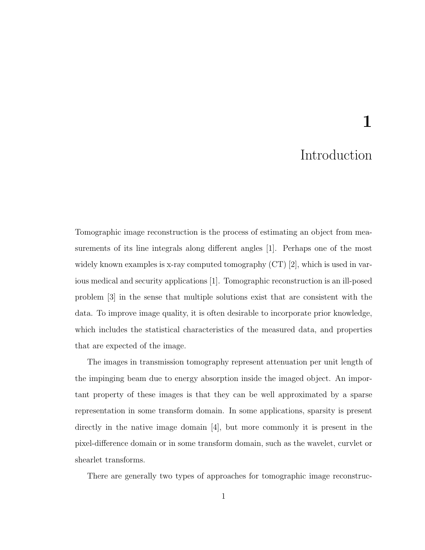## 1

### Introduction

<span id="page-9-0"></span>Tomographic image reconstruction is the process of estimating an object from measurements of its line integrals along different angles [\[1\]](#page-42-1). Perhaps one of the most widely known examples is x-ray computed tomography  $(CT)$  [\[2\]](#page-42-2), which is used in various medical and security applications [\[1\]](#page-42-1). Tomographic reconstruction is an ill-posed problem [\[3\]](#page-42-3) in the sense that multiple solutions exist that are consistent with the data. To improve image quality, it is often desirable to incorporate prior knowledge, which includes the statistical characteristics of the measured data, and properties that are expected of the image.

The images in transmission tomography represent attenuation per unit length of the impinging beam due to energy absorption inside the imaged object. An important property of these images is that they can be well approximated by a sparse representation in some transform domain. In some applications, sparsity is present directly in the native image domain [\[4\]](#page-42-4), but more commonly it is present in the pixel-difference domain or in some transform domain, such as the wavelet, curvlet or shearlet transforms.

There are generally two types of approaches for tomographic image reconstruc-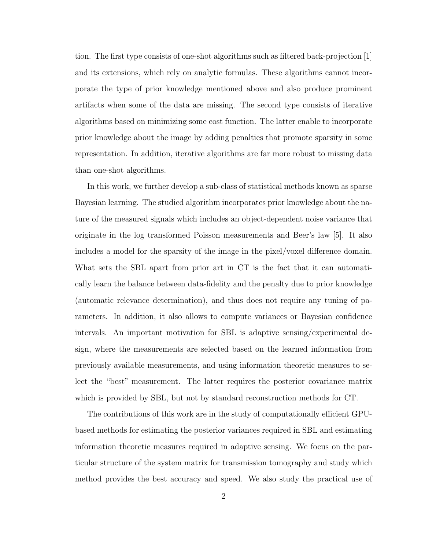tion. The first type consists of one-shot algorithms such as filtered back-projection [\[1\]](#page-42-1) and its extensions, which rely on analytic formulas. These algorithms cannot incorporate the type of prior knowledge mentioned above and also produce prominent artifacts when some of the data are missing. The second type consists of iterative algorithms based on minimizing some cost function. The latter enable to incorporate prior knowledge about the image by adding penalties that promote sparsity in some representation. In addition, iterative algorithms are far more robust to missing data than one-shot algorithms.

In this work, we further develop a sub-class of statistical methods known as sparse Bayesian learning. The studied algorithm incorporates prior knowledge about the nature of the measured signals which includes an object-dependent noise variance that originate in the log transformed Poisson measurements and Beer's law [\[5\]](#page-42-5). It also includes a model for the sparsity of the image in the pixel/voxel difference domain. What sets the SBL apart from prior art in CT is the fact that it can automatically learn the balance between data-fidelity and the penalty due to prior knowledge (automatic relevance determination), and thus does not require any tuning of parameters. In addition, it also allows to compute variances or Bayesian confidence intervals. An important motivation for SBL is adaptive sensing/experimental design, where the measurements are selected based on the learned information from previously available measurements, and using information theoretic measures to select the "best" measurement. The latter requires the posterior covariance matrix which is provided by SBL, but not by standard reconstruction methods for CT.

The contributions of this work are in the study of computationally efficient GPUbased methods for estimating the posterior variances required in SBL and estimating information theoretic measures required in adaptive sensing. We focus on the particular structure of the system matrix for transmission tomography and study which method provides the best accuracy and speed. We also study the practical use of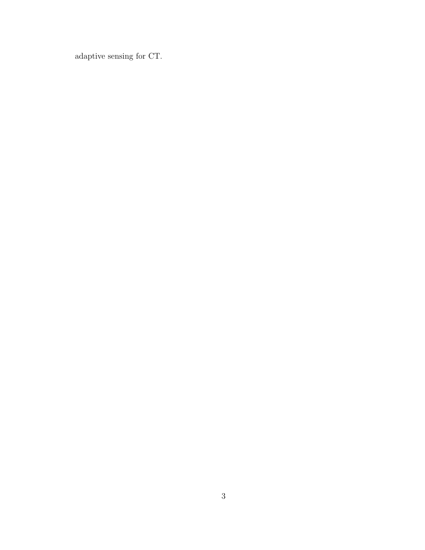adaptive sensing for CT.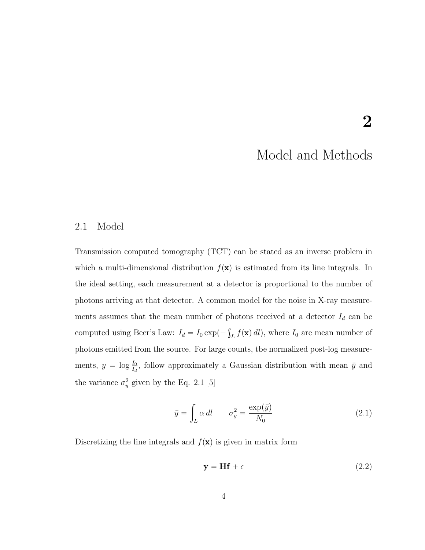# 2

### Model and Methods

#### <span id="page-12-1"></span><span id="page-12-0"></span>2.1 Model

Transmission computed tomography (TCT) can be stated as an inverse problem in which a multi-dimensional distribution  $f(\mathbf{x})$  is estimated from its line integrals. In the ideal setting, each measurement at a detector is proportional to the number of photons arriving at that detector. A common model for the noise in X-ray measurements assumes that the mean number of photons received at a detector  $I_d$  can be computed using Beer's Law:  $I_d = I_0 \exp(-\int_L f(\mathbf{x}) dl)$ , where  $I_0$  are mean number of photons emitted from the source. For large counts, tbe normalized post-log measurements,  $y = \log \frac{I_0}{I_d}$ , follow approximately a Gaussian distribution with mean  $\bar{y}$  and the variance  $\sigma_y^2$  given by the Eq. [2.1](#page-12-2) [\[5\]](#page-42-5)

<span id="page-12-2"></span>
$$
\bar{y} = \int_{L} \alpha \, dl \qquad \sigma_y^2 = \frac{\exp(\bar{y})}{N_0} \tag{2.1}
$$

Discretizing the line integrals and  $f(\mathbf{x})$  is given in matrix form

$$
y = Hf + \epsilon \tag{2.2}
$$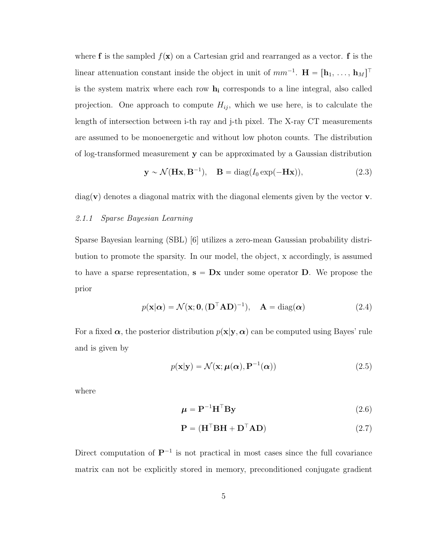where **f** is the sampled  $f(\mathbf{x})$  on a Cartesian grid and rearranged as a vector. **f** is the linear attenuation constant inside the object in unit of  $mm^{-1}$ .  $\mathbf{H} = [\mathbf{h}_1, \ldots, \mathbf{h}_M]^T$ is the system matrix where each row  $\mathbf{h}_i$  corresponds to a line integral, also called projection. One approach to compute  $H_{ij}$ , which we use here, is to calculate the length of intersection between i-th ray and j-th pixel. The X-ray CT measurements are assumed to be monoenergetic and without low photon counts. The distribution of log-transformed measurement y can be approximated by a Gaussian distribution

$$
\mathbf{y} \sim \mathcal{N}(\mathbf{H}\mathbf{x}, \mathbf{B}^{-1}), \quad \mathbf{B} = \text{diag}(I_0 \exp(-\mathbf{H}\mathbf{x})), \tag{2.3}
$$

 $\text{diag}(\mathbf{v})$  denotes a diagonal matrix with the diagonal elements given by the vector **v**.

#### <span id="page-13-0"></span>2.1.1 Sparse Bayesian Learning

Sparse Bayesian learning (SBL) [\[6\]](#page-42-6) utilizes a zero-mean Gaussian probability distribution to promote the sparsity. In our model, the object, x accordingly, is assumed to have a sparse representation,  $s = Dx$  under some operator D. We propose the prior

$$
p(\mathbf{x}|\alpha) = \mathcal{N}(\mathbf{x}; \mathbf{0}, (\mathbf{D}^\top \mathbf{A} \mathbf{D})^{-1}), \quad \mathbf{A} = \text{diag}(\alpha)
$$
 (2.4)

For a fixed  $\alpha$ , the posterior distribution  $p(x|y, \alpha)$  can be computed using Bayes' rule and is given by

<span id="page-13-1"></span>
$$
p(\mathbf{x}|\mathbf{y}) = \mathcal{N}(\mathbf{x}; \boldsymbol{\mu}(\boldsymbol{\alpha}), \mathbf{P}^{-1}(\boldsymbol{\alpha}))
$$
\n(2.5)

where

<span id="page-13-2"></span>
$$
\mu = \mathbf{P}^{-1} \mathbf{H}^{\top} \mathbf{B} \mathbf{y} \tag{2.6}
$$

$$
\mathbf{P} = (\mathbf{H}^\top \mathbf{B} \mathbf{H} + \mathbf{D}^\top \mathbf{A} \mathbf{D}) \tag{2.7}
$$

Direct computation of  $\mathbf{P}^{-1}$  is not practical in most cases since the full covariance matrix can not be explicitly stored in memory, preconditioned conjugate gradient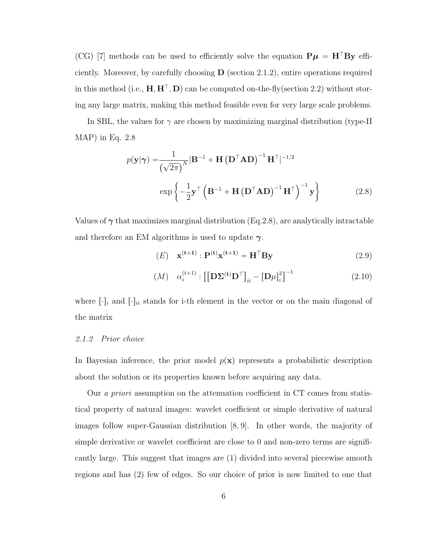(CG) [\[7\]](#page-42-7) methods can be used to efficiently solve the equation  $P\mu = H^{\top}By$  efficiently. Moreover, by carefully choosing  $\bf{D}$  (section [2.1.2\)](#page-14-0), entire operations required in this method (i.e.,  $H, H^{\top}, D$ ) can be computed on-the-fly(section [2.2\)](#page-17-0) without storing any large matrix, making this method feasible even for very large scale problems.

In SBL, the values for  $\gamma$  are chosen by maximizing marginal distribution (type-II MAP) in Eq. [2.8](#page-14-1)

$$
p(\mathbf{y}|\boldsymbol{\gamma}) = \frac{1}{(\sqrt{2\pi})^N} |\mathbf{B}^{-1} + \mathbf{H} (\mathbf{D}^\top \mathbf{A} \mathbf{D})^{-1} \mathbf{H}^\top|^{-1/2}
$$
  
\n
$$
\exp\left\{-\frac{1}{2}\mathbf{y}^\top \left(\mathbf{B}^{-1} + \mathbf{H} (\mathbf{D}^\top \mathbf{A} \mathbf{D})^{-1} \mathbf{H}^\top\right)^{-1} \mathbf{y}\right\}
$$
\n(2.8)

Values of  $\gamma$  that maximizes marginal distribution (Eq[.2.8\)](#page-14-1), are analytically intractable and therefore an EM algorithms is used to update  $\gamma$ .

<span id="page-14-1"></span>
$$
(E) \quad \mathbf{x}^{(t+1)} : \mathbf{P}^{(t)} \mathbf{x}^{(t+1)} = \mathbf{H}^\top \mathbf{B} \mathbf{y}
$$
\n(2.9)

$$
(M) \quad \alpha_i^{(t+1)}: \left[ \left[ \mathbf{D} \boldsymbol{\Sigma}^{(t)} \mathbf{D}^\top \right]_{ii} - \left[ \mathbf{D} \boldsymbol{\mu} \right]_i^2 \right]^{-1} \tag{2.10}
$$

where  $[\cdot]_i$  and  $[\cdot]_{ii}$  stands for i-th element in the vector or on the main diagonal of the matrix

#### <span id="page-14-0"></span>2.1.2 Prior choice

In Bayesian inference, the prior model  $p(x)$  represents a probabilistic description about the solution or its properties known before acquiring any data.

Our a priori assumption on the attenuation coefficient in CT comes from statistical property of natural images: wavelet coefficient or simple derivative of natural images follow super-Gaussian distribution [\[8,](#page-42-8) [9\]](#page-42-9). In other words, the majority of simple derivative or wavelet coefficient are close to 0 and non-zero terms are significantly large. This suggest that images are  $(1)$  divided into several piecewise smooth regions and has  $(2)$  few of edges. So our choice of prior is now limited to one that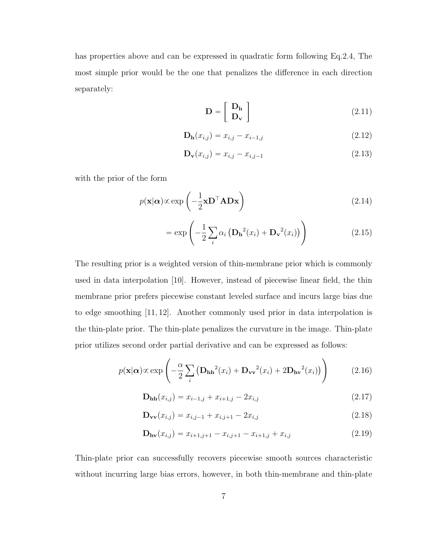has properties above and can be expressed in quadratic form following Eq[.2.4,](#page-13-1) The most simple prior would be the one that penalizes the difference in each direction separately:

$$
\mathbf{D} = \left[ \begin{array}{c} \mathbf{D}_{\mathbf{h}} \\ \mathbf{D}_{\mathbf{v}} \end{array} \right] \tag{2.11}
$$

$$
\mathbf{D_h}(x_{i,j}) = x_{i,j} - x_{i-1,j} \tag{2.12}
$$

$$
\mathbf{D}_{\mathbf{v}}(x_{i,j}) = x_{i,j} - x_{i,j-1} \tag{2.13}
$$

with the prior of the form

$$
p(\mathbf{x}|\alpha) \propto \exp\left(-\frac{1}{2}\mathbf{x}\mathbf{D}^\top \mathbf{A} \mathbf{D}\mathbf{x}\right)
$$
 (2.14)

$$
= \exp\left(-\frac{1}{2}\sum_{i}\alpha_{i}\left(\mathbf{D}_{\mathbf{h}}^{2}(x_{i}) + \mathbf{D}_{\mathbf{v}}^{2}(x_{i})\right)\right) \tag{2.15}
$$

The resulting prior is a weighted version of thin-membrane prior which is commonly used in data interpolation [\[10\]](#page-42-10). However, instead of piecewise linear field, the thin membrane prior prefers piecewise constant leveled surface and incurs large bias due to edge smoothing [\[11,](#page-42-11) [12\]](#page-42-12). Another commonly used prior in data interpolation is the thin-plate prior. The thin-plate penalizes the curvature in the image. Thin-plate prior utilizes second order partial derivative and can be expressed as follows:

$$
p(\mathbf{x}|\alpha) \propto \exp\left(-\frac{\alpha}{2} \sum_{i} \left(\mathbf{D}_{\mathbf{h}\mathbf{h}}^2(x_i) + \mathbf{D}_{\mathbf{v}\mathbf{v}}^2(x_i) + 2\mathbf{D}_{\mathbf{h}\mathbf{v}}^2(x_i)\right)\right) \tag{2.16}
$$

$$
\mathbf{D}_{\mathbf{h}\mathbf{h}}(x_{i,j}) = x_{i-1,j} + x_{i+1,j} - 2x_{i,j} \tag{2.17}
$$

$$
\mathbf{D}_{\mathbf{vv}}(x_{i,j}) = x_{i,j-1} + x_{i,j+1} - 2x_{i,j}
$$
\n(2.18)

$$
\mathbf{D}_{\mathbf{hv}}(x_{i,j}) = x_{i+1,j+1} - x_{i,j+1} - x_{i+1,j} + x_{i,j} \tag{2.19}
$$

Thin-plate prior can successfully recovers piecewise smooth sources characteristic without incurring large bias errors, however, in both thin-membrane and thin-plate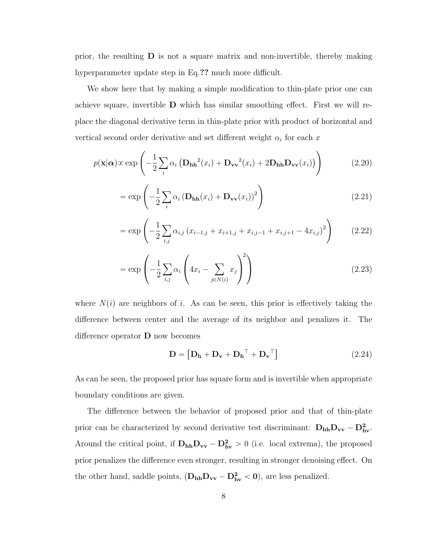prior, the resulting  $\bf{D}$  is not a square matrix and non-invertible, thereby making hyperparameter update step in Eq.?? much more difficult.

We show here that by making a simple modification to thin-plate prior one can achieve square, invertible  **which has similar smoothing effect. First we will re**place the diagonal derivative term in thin-plate prior with product of horizontal and vertical second order derivative and set different weight  $\alpha_i$  for each x

$$
p(\mathbf{x}|\alpha) \propto \exp\left(-\frac{1}{2}\sum_{i}\alpha_{i}\left(\mathbf{D}_{\mathbf{h}\mathbf{h}}^{2}(x_{i}) + \mathbf{D}_{\mathbf{v}\mathbf{v}}^{2}(x_{i}) + 2\mathbf{D}_{\mathbf{h}\mathbf{h}}\mathbf{D}_{\mathbf{v}\mathbf{v}}(x_{i})\right)\right)
$$
(2.20)

$$
= \exp\left(-\frac{1}{2}\sum_{i}\alpha_{i}\left(\mathbf{D}_{\mathbf{h}\mathbf{h}}(x_{i}) + \mathbf{D}_{\mathbf{v}\mathbf{v}}(x_{i})\right)^{2}\right)
$$
(2.21)

$$
= \exp\left(-\frac{1}{2}\sum_{i,j}\alpha_{i,j}\left(x_{i-1,j} + x_{i+1,j} + x_{i,j-1} + x_{i,j+1} - 4x_{i,j}\right)^2\right) \tag{2.22}
$$

$$
= \exp\left(-\frac{1}{2}\sum_{i,j}\alpha_i\left(4x_i - \sum_{j\in N(i)}x_j\right)^2\right) \tag{2.23}
$$

where  $N(i)$  are neighbors of i. As can be seen, this prior is effectively taking the difference between center and the average of its neighbor and penalizes it. The difference operator  **now becomes** 

<span id="page-16-0"></span>
$$
\mathbf{D} = [\mathbf{D}_{\mathbf{h}} + \mathbf{D}_{\mathbf{v}} + \mathbf{D}_{\mathbf{h}}^{\top} + \mathbf{D}_{\mathbf{v}}^{\top}]
$$
 (2.24)

As can be seen, the proposed prior has square form and is invertible when appropriate boundary conditions are given.

The difference between the behavior of proposed prior and that of thin-plate prior can be characterized by second derivative test discriminant:  $D_{hh}D_{vv} - D_{hv}^2$ . Around the critical point, if  $D_{hh}D_{vv} - D_{hv}^2 > 0$  (i.e. local extrema), the proposed prior penalizes the difference even stronger, resulting in stronger denoising effect. On the other hand, saddle points,  $(D_{hh}D_{vv} - D_{hv}^2 < 0)$ , are less penalized.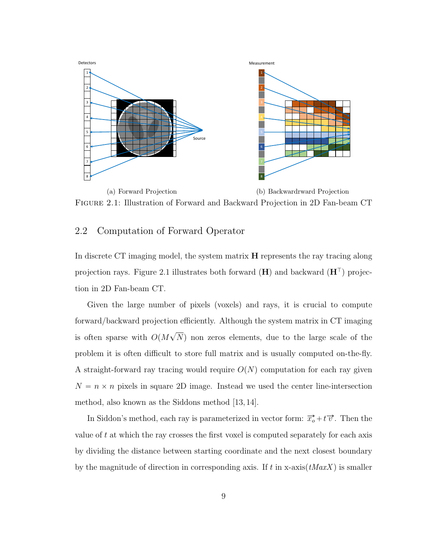

<span id="page-17-1"></span>(a) Forward Projection (b) Backwardrward Projection Figure 2.1: Illustration of Forward and Backward Projection in 2D Fan-beam CT

#### <span id="page-17-0"></span>2.2 Computation of Forward Operator

In discrete CT imaging model, the system matrix  $\bf{H}$  represents the ray tracing along projection rays. Figure [2.1](#page-17-1) illustrates both forward  $(H)$  and backward  $(H<sup>T</sup>)$  projection in 2D Fan-beam CT.

Given the large number of pixels (voxels) and rays, it is crucial to compute forward/backward projection efficiently. Although the system matrix in CT imaging is often sparse with  $O(M)$  $\overline{\phantom{a}}$  $(N)$  non zeros elements, due to the large scale of the problem it is often difficult to store full matrix and is usually computed on-the-fly. A straight-forward ray tracing would require  $O(N)$  computation for each ray given  $N = n \times n$  pixels in square 2D image. Instead we used the center line-intersection method, also known as the Siddons method [\[13,](#page-43-0) [14\]](#page-43-1).

In Siddon's method, each ray is parameterized in vector form:  $\vec{x_o} + t\vec{v}$ . Then the value of  $t$  at which the ray crosses the first voxel is computed separately for each axis by dividing the distance between starting coordinate and the next closest boundary by the magnitude of direction in corresponding axis. If t in x-axis( $tMaxX$ ) is smaller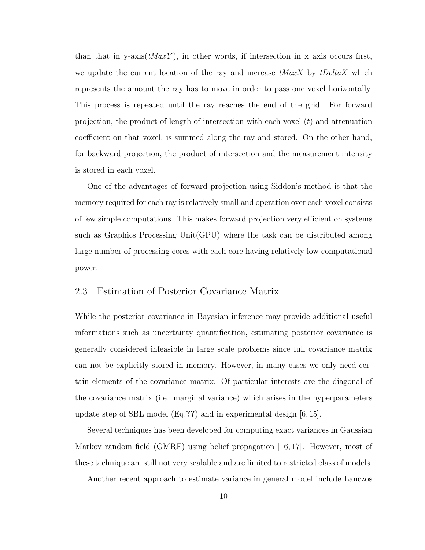than that in y-axis( $tMaxY$ ), in other words, if intersection in x axis occurs first, we update the current location of the ray and increase  $tMaxX$  by  $tDeltaX$  which represents the amount the ray has to move in order to pass one voxel horizontally. This process is repeated until the ray reaches the end of the grid. For forward projection, the product of length of intersection with each voxel  $(t)$  and attenuation coefficient on that voxel, is summed along the ray and stored. On the other hand, for backward projection, the product of intersection and the measurement intensity is stored in each voxel.

One of the advantages of forward projection using Siddon's method is that the memory required for each ray is relatively small and operation over each voxel consists of few simple computations. This makes forward projection very efficient on systems such as Graphics Processing Unit(GPU) where the task can be distributed among large number of processing cores with each core having relatively low computational power.

#### <span id="page-18-0"></span>2.3 Estimation of Posterior Covariance Matrix

While the posterior covariance in Bayesian inference may provide additional useful informations such as uncertainty quantification, estimating posterior covariance is generally considered infeasible in large scale problems since full covariance matrix can not be explicitly stored in memory. However, in many cases we only need certain elements of the covariance matrix. Of particular interests are the diagonal of the covariance matrix (i.e. marginal variance) which arises in the hyperparameters update step of SBL model (Eq.??) and in experimental design [\[6,](#page-42-6) [15\]](#page-43-2).

Several techniques has been developed for computing exact variances in Gaussian Markov random field (GMRF) using belief propagation [\[16,](#page-43-3) [17\]](#page-43-4). However, most of these technique are still not very scalable and are limited to restricted class of models.

Another recent approach to estimate variance in general model include Lanczos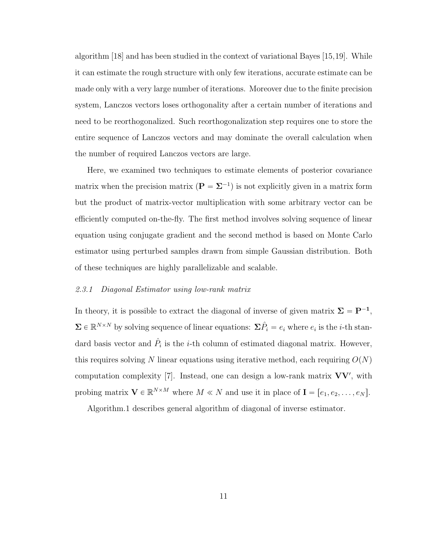algorithm [\[18\]](#page-43-5) and has been studied in the context of variational Bayes [\[15,](#page-43-2)[19\]](#page-43-6). While it can estimate the rough structure with only few iterations, accurate estimate can be made only with a very large number of iterations. Moreover due to the finite precision system, Lanczos vectors loses orthogonality after a certain number of iterations and need to be reorthogonalized. Such reorthogonalization step requires one to store the entire sequence of Lanczos vectors and may dominate the overall calculation when the number of required Lanczos vectors are large.

Here, we examined two techniques to estimate elements of posterior covariance matrix when the precision matrix  $(\mathbf{P} = \mathbf{\Sigma}^{-1})$  is not explicitly given in a matrix form but the product of matrix-vector multiplication with some arbitrary vector can be efficiently computed on-the-fly. The first method involves solving sequence of linear equation using conjugate gradient and the second method is based on Monte Carlo estimator using perturbed samples drawn from simple Gaussian distribution. Both of these techniques are highly parallelizable and scalable.

#### <span id="page-19-0"></span>2.3.1 Diagonal Estimator using low-rank matrix

In theory, it is possible to extract the diagonal of inverse of given matrix  $\Sigma = P^{-1}$ ,  $\Sigma \in \mathbb{R}^{N \times N}$  by solving sequence of linear equations:  $\Sigma \hat{P}_i = e_i$  where  $e_i$  is the *i*-th standard basis vector and  $\hat{P}_i$  is the *i*-th column of estimated diagonal matrix. However, this requires solving N linear equations using iterative method, each requiring  $O(N)$ computation complexity  $[7]$ . Instead, one can design a low-rank matrix  $VV'$ , with probing matrix  $\mathbf{V} \in \mathbb{R}^{N \times M}$  where  $M \ll N$  and use it in place of  $\mathbf{I} = [e_1, e_2, \dots, e_N].$ 

Algorithm[.1](#page-20-0) describes general algorithm of diagonal of inverse estimator.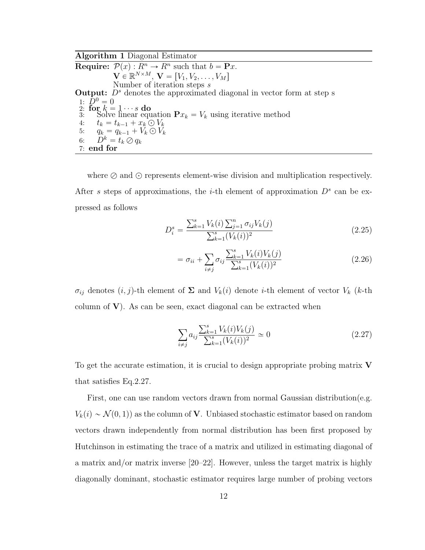<span id="page-20-0"></span>Algorithm 1 Diagonal Estimator

**Require:**  $\mathcal{P}(x) : R^n \to R^n$  such that  $b = \mathbf{P}x$ .  $\mathbf{V} \in \mathbb{R}^{N \times M},\, \mathbf{V} = \begin{bmatrix} V_1, V_2, \ldots, V_M \end{bmatrix}$ Number of iteration steps s **Output:**  $D^s$  denotes the approximated diagonal in vector form at step s 1:  $D^0 = 0$ 2: for  $k = 1 \cdots s$  do 3: Solve linear equation  $\mathbf{P}x_k = V_k$  using iterative method 4:  $t_k = t_{k-1} + x_k \odot V_k$ 5:  $q_k = q_{k-1} + V_k \odot V_k$ 6:  $D^k = t_k \oslash q_k$ 7: end for

where  $\oslash$  and  $\odot$  represents element-wise division and multiplication respectively. After s steps of approximations, the *i*-th element of approximation  $D^s$  can be expressed as follows

$$
D_i^s = \frac{\sum_{k=1}^s V_k(i) \sum_{j=1}^n \sigma_{ij} V_k(j)}{\sum_{k=1}^s (V_k(i))^2}
$$
(2.25)

<span id="page-20-2"></span>
$$
= \sigma_{ii} + \sum_{i \neq j} \sigma_{ij} \frac{\sum_{k=1}^{s} V_k(i) V_k(j)}{\sum_{k=1}^{s} (V_k(i))^2}
$$
(2.26)

 $\sigma_{ij}$  denotes  $(i, j)$ -th element of  $\Sigma$  and  $V_k(i)$  denote *i*-th element of vector  $V_k$  (k-th column of  $V$ ). As can be seen, exact diagonal can be extracted when

<span id="page-20-1"></span>
$$
\sum_{i \neq j} a_{ij} \frac{\sum_{k=1}^{s} V_k(i) V_k(j)}{\sum_{k=1}^{s} (V_k(i))^2} \simeq 0
$$
\n(2.27)

To get the accurate estimation, it is crucial to design appropriate probing matrix  $V$ that satisfies Eq[.2.27.](#page-20-1)

First, one can use random vectors drawn from normal Gaussian distribution(e.g.  $V_k(i) \sim \mathcal{N}(0, 1)$  as the column of **V**. Unbiased stochastic estimator based on random vectors drawn independently from normal distribution has been first proposed by Hutchinson in estimating the trace of a matrix and utilized in estimating diagonal of a matrix and/or matrix inverse  $[20-22]$  $[20-22]$ . However, unless the target matrix is highly diagonally dominant, stochastic estimator requires large number of probing vectors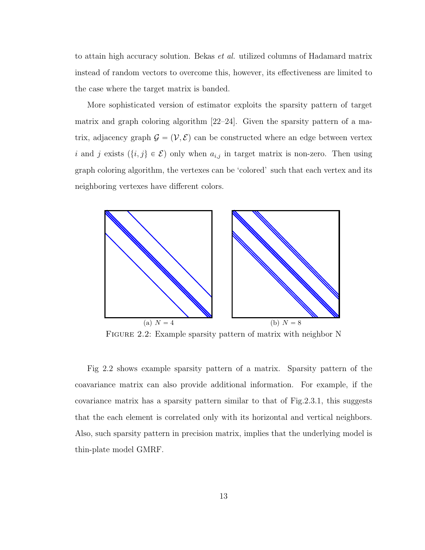to attain high accuracy solution. Bekas et al. utilized columns of Hadamard matrix instead of random vectors to overcome this, however, its effectiveness are limited to the case where the target matrix is banded.

More sophisticated version of estimator exploits the sparsity pattern of target matrix and graph coloring algorithm [\[22](#page-43-8)[–24\]](#page-43-9). Given the sparsity pattern of a matrix, adjacency graph  $\mathcal{G} = (\mathcal{V}, \mathcal{E})$  can be constructed where an edge between vertex i and j exists  $(\{i, j\} \in \mathcal{E})$  only when  $a_{i,j}$  in target matrix is non-zero. Then using graph coloring algorithm, the vertexes can be 'colored' such that each vertex and its neighboring vertexes have different colors.

<span id="page-21-1"></span>

<span id="page-21-0"></span>FIGURE 2.2: Example sparsity pattern of matrix with neighbor N

Fig [2.2](#page-21-0) shows example sparsity pattern of a matrix. Sparsity pattern of the coavariance matrix can also provide additional information. For example, if the covariance matrix has a sparsity pattern similar to that of Fig[.2.3.1,](#page-21-1) this suggests that the each element is correlated only with its horizontal and vertical neighbors. Also, such sparsity pattern in precision matrix, implies that the underlying model is thin-plate model GMRF.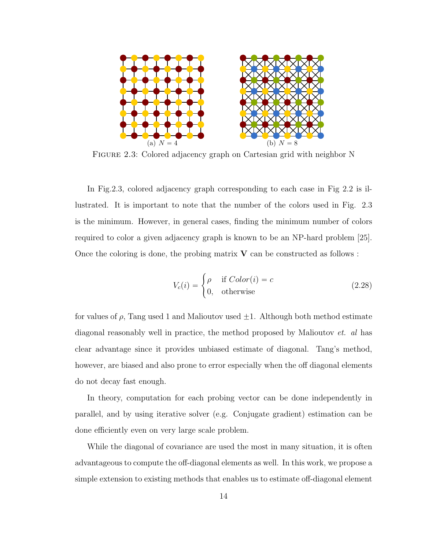

<span id="page-22-0"></span>Figure 2.3: Colored adjacency graph on Cartesian grid with neighbor N

In Fig[.2.3,](#page-22-0) colored adjacency graph corresponding to each case in Fig [2.2](#page-21-0) is illustrated. It is important to note that the number of the colors used in Fig. [2.3](#page-22-0) is the minimum. However, in general cases, finding the minimum number of colors required to color a given adjacency graph is known to be an NP-hard problem [\[25\]](#page-44-0). Once the coloring is done, the probing matrix  $V$  can be constructed as follows:

$$
V_c(i) = \begin{cases} \rho & \text{if } Color(i) = c \\ 0, & \text{otherwise} \end{cases}
$$
 (2.28)

for values of  $\rho$ , Tang used 1 and Malioutov used  $\pm 1$ . Although both method estimate diagonal reasonably well in practice, the method proposed by Malioutov *et. al* has clear advantage since it provides unbiased estimate of diagonal. Tang's method, however, are biased and also prone to error especially when the off diagonal elements do not decay fast enough.

In theory, computation for each probing vector can be done independently in parallel, and by using iterative solver (e.g. Conjugate gradient) estimation can be done efficiently even on very large scale problem.

While the diagonal of covariance are used the most in many situation, it is often advantageous to compute the off-diagonal elements as well. In this work, we propose a simple extension to existing methods that enables us to estimate off-diagonal element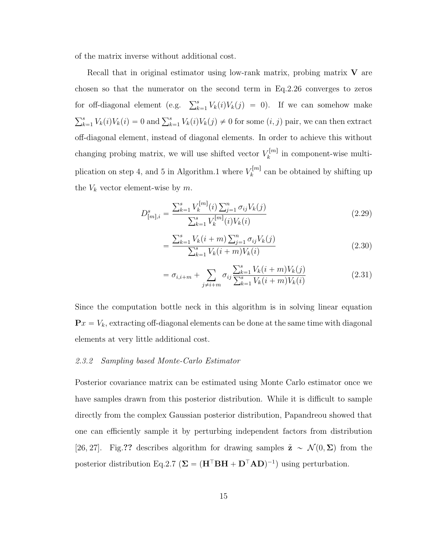of the matrix inverse without additional cost.

Recall that in original estimator using low-rank matrix, probing matrix  $V$  are chosen so that the numerator on the second term in Eq[.2.26](#page-20-2) converges to zeros for off-diagonal element (e.g.  $\sum_{k=1}^{s} V_k(i) V_k(j) = 0$ ). If we can somehow make  $\sum$  $\sum_{k=1}^{s} V_k(i) V_k(i) = 0$  and  $\sum_{k=1}^{s} V_k(i) V_k(j) \neq 0$  for some  $(i, j)$  pair, we can then extract off-diagonal element, instead of diagonal elements. In order to achieve this without changing probing matrix, we will use shifted vector  $V_k^{[m]}$  $\kappa^{[m]}$  in component-wise multi-plication on step 4, and 5 in Algorithm[.1](#page-20-0) where  $V_k^{[m]}$  $k^{[m]}$  can be obtained by shifting up the  $V_k$  vector element-wise by m.

$$
D_{[m],i}^{s} = \frac{\sum_{k=1}^{s} V_k^{[m]}(i) \sum_{j=1}^{n} \sigma_{ij} V_k(j)}{\sum_{k=1}^{s} V_k^{[m]}(i) V_k(i)}
$$
(2.29)

$$
= \frac{\sum_{k=1}^{s} V_k(i+m) \sum_{j=1}^{n} \sigma_{ij} V_k(j)}{\sum_{k=1}^{s} V_k(i+m) V_k(i)}
$$
(2.30)

$$
= \sigma_{i,i+m} + \sum_{j \neq i+m} \sigma_{ij} \frac{\sum_{k=1}^{s} V_k(i+m)V_k(j)}{\sum_{k=1}^{s} V_k(i+m)V_k(i)}
$$
(2.31)

Since the computation bottle neck in this algorithm is in solving linear equation  $\mathbf{P}x = V_k$ , extracting off-diagonal elements can be done at the same time with diagonal elements at very little additional cost.

#### <span id="page-23-0"></span>2.3.2 Sampling based Monte-Carlo Estimator

Posterior covariance matrix can be estimated using Monte Carlo estimator once we have samples drawn from this posterior distribution. While it is difficult to sample directly from the complex Gaussian posterior distribution, Papandreou showed that one can efficiently sample it by perturbing independent factors from distribution [\[26,](#page-44-1) [27\]](#page-44-2). Fig.?? describes algorithm for drawing samples  $\tilde{\mathbf{z}} \sim \mathcal{N}(0, \Sigma)$  from the posterior distribution Eq[.2.7](#page-13-2) ( $\Sigma = (H^{\top}BH + D^{\top}AD)^{-1}$ ) using perturbation.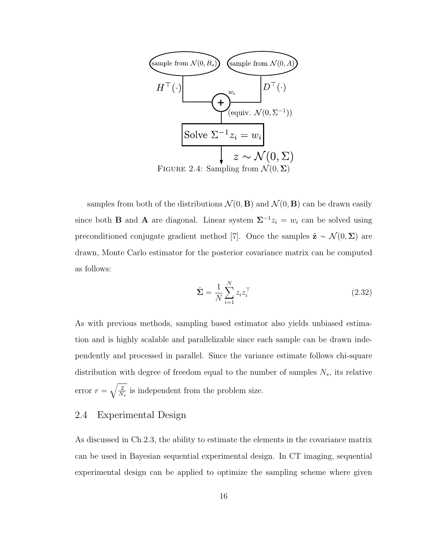

samples from both of the distributions  $\mathcal{N}(0, \mathbf{B})$  and  $\mathcal{N}(0, \mathbf{B})$  can be drawn easily since both **B** and **A** are diagonal. Linear system  $\Sigma^{-1}z_i = w_i$  can be solved using preconditioned conjugate gradient method [\[7\]](#page-42-7). Once the samples  $\tilde{\mathbf{z}} \sim \mathcal{N}(0, \Sigma)$  are drawn, Monte Carlo estimator for the posterior covariance matrix can be computed as follows:

<span id="page-24-1"></span>
$$
\hat{\Sigma} = \frac{1}{N} \sum_{i=1}^{N} z_i z_i^{\top}
$$
\n(2.32)

As with previous methods, sampling based estimator also yields unbiased estimation and is highly scalable and parallelizable since each sample can be drawn independently and processed in parallel. Since the variance estimate follows chi-square distribution with degree of freedom equal to the number of samples  $N_s$ , its relative error  $r = \sqrt{\frac{2}{N}}$ b  $\frac{2}{N_s}$  is independent from the problem size.

#### <span id="page-24-0"></span>2.4 Experimental Design

As discussed in Ch[.2.3,](#page-18-0) the ability to estimate the elements in the covariance matrix can be used in Bayesian sequential experimental design. In CT imaging, sequential experimental design can be applied to optimize the sampling scheme where given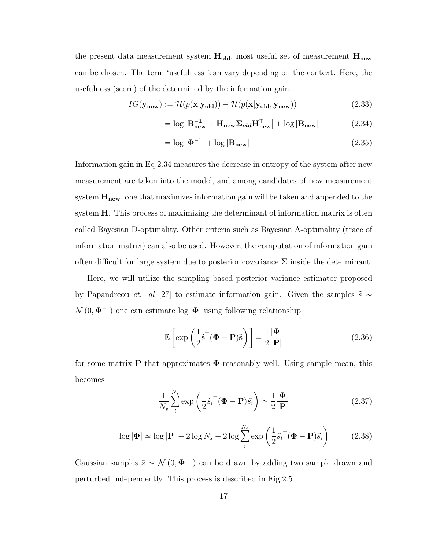the present data measurement system  $H_{old}$ , most useful set of measurement  $H_{new}$ can be chosen. The term 'usefulness 'can vary depending on the context. Here, the usefulness (score) of the determined by the information gain.

$$
IG(\mathbf{y}_{\text{new}}) := \mathcal{H}(p(\mathbf{x}|\mathbf{y}_{\text{old}})) - \mathcal{H}(p(\mathbf{x}|\mathbf{y}_{\text{old}}, \mathbf{y}_{\text{new}}))
$$
(2.33)

<span id="page-25-0"></span>
$$
= \log \left| \mathbf{B}_{\mathbf{new}}^{-1} + \mathbf{H}_{\mathbf{new}} \boldsymbol{\Sigma}_{\mathit{old}} \mathbf{H}_{\mathbf{new}}^{\top} \right| + \log \left| \mathbf{B}_{\mathbf{new}} \right| \tag{2.34}
$$

$$
= \log |\mathbf{\Phi}^{-1}| + \log |\mathbf{B}_{\text{new}}| \tag{2.35}
$$

Information gain in Eq[.2.34](#page-25-0) measures the decrease in entropy of the system after new measurement are taken into the model, and among candidates of new measurement system  $H_{new}$ , one that maximizes information gain will be taken and appended to the system H. This process of maximizing the determinant of information matrix is often called Bayesian D-optimality. Other criteria such as Bayesian A-optimality (trace of information matrix) can also be used. However, the computation of information gain often difficult for large system due to posterior covariance  $\Sigma$  inside the determinant.

Here, we will utilize the sampling based posterior variance estimator proposed by Papandreou *et. al* [\[27\]](#page-44-2) to estimate information gain. Given the samples  $\tilde{s} \sim$  $\mathcal{N}(0, \mathbf{\Phi}^{-1})$  one can estimate  $\log |\mathbf{\Phi}|$  using following relationship

$$
\mathbb{E}\left[\exp\left(\frac{1}{2}\tilde{\mathbf{s}}^{\top}(\mathbf{\Phi}-\mathbf{P})\tilde{\mathbf{s}}\right)\right] = \frac{1}{2}\frac{|\mathbf{\Phi}|}{|\mathbf{P}|}\tag{2.36}
$$

for some matrix **P** that approximates  $\Phi$  reasonably well. Using sample mean, this becomes

$$
\frac{1}{N_s} \sum_{i}^{N_s} \exp\left(\frac{1}{2} \tilde{s}_i^{\top} (\boldsymbol{\Phi} - \mathbf{P}) \tilde{s}_i\right) \simeq \frac{1}{2} \frac{|\boldsymbol{\Phi}|}{|\mathbf{P}|}
$$
(2.37)

$$
\log |\mathbf{\Phi}| \simeq \log |\mathbf{P}| - 2 \log N_s - 2 \log \sum_{i}^{N_s} \exp \left( \frac{1}{2} \tilde{s}_i^{\top} (\mathbf{\Phi} - \mathbf{P}) \tilde{s}_i \right) \tag{2.38}
$$

Gaussian samples  $\tilde{s} \sim \mathcal{N}(0, \Phi^{-1})$  can be drawn by adding two sample drawn and perturbed independently. This process is described in Fig[.2.5](#page-26-0)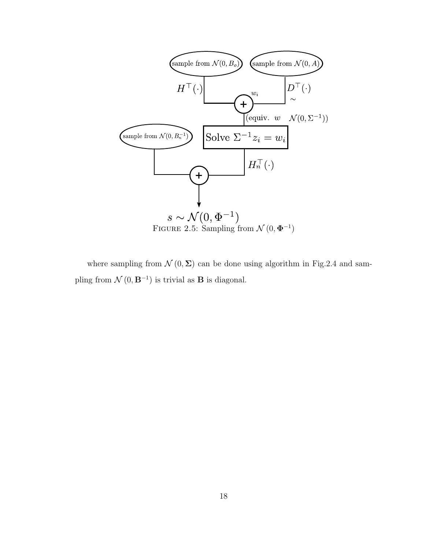

<span id="page-26-0"></span>where sampling from  $\mathcal{N}(0, \Sigma)$  can be done using algorithm in Fig[.2.4](#page-24-1) and sampling from  $\mathcal{N}(0, \mathbf{B}^{-1})$  is trivial as **B** is diagonal.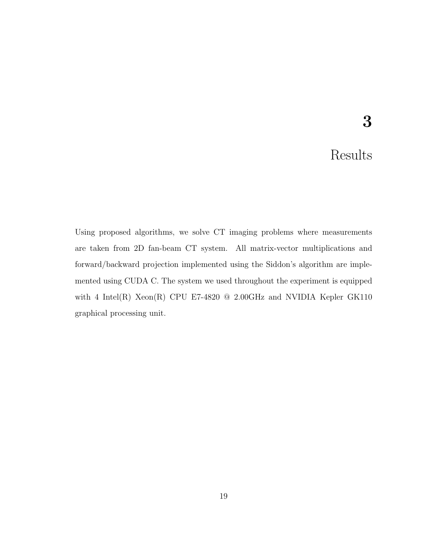### Results

3

<span id="page-27-0"></span>Using proposed algorithms, we solve CT imaging problems where measurements are taken from 2D fan-beam CT system. All matrix-vector multiplications and forward/backward projection implemented using the Siddon's algorithm are implemented using CUDA C. The system we used throughout the experiment is equipped with 4 Intel(R) Xeon(R) CPU E7-4820  $\omega$  2.00GHz and NVIDIA Kepler GK110 graphical processing unit.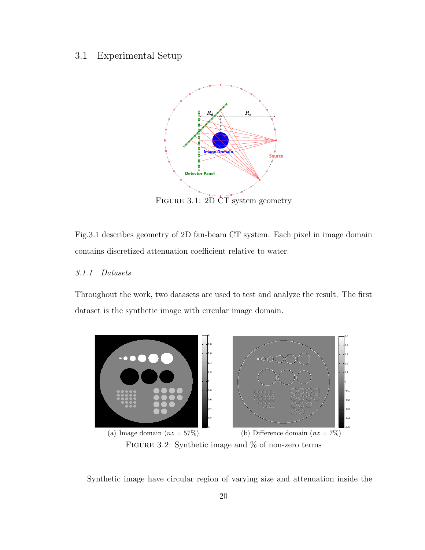#### <span id="page-28-0"></span>3.1 Experimental Setup



<span id="page-28-2"></span>Figure 3.1: 2D CT system geometry

Fig[.3.1](#page-28-2) describes geometry of 2D fan-beam CT system. Each pixel in image domain contains discretized attenuation coefficient relative to water.

#### <span id="page-28-1"></span>3.1.1 Datasets

Throughout the work, two datasets are used to test and analyze the result. The first dataset is the synthetic image with circular image domain.



<span id="page-28-3"></span>FIGURE 3.2: Synthetic image and % of non-zero terms

Synthetic image have circular region of varying size and attenuation inside the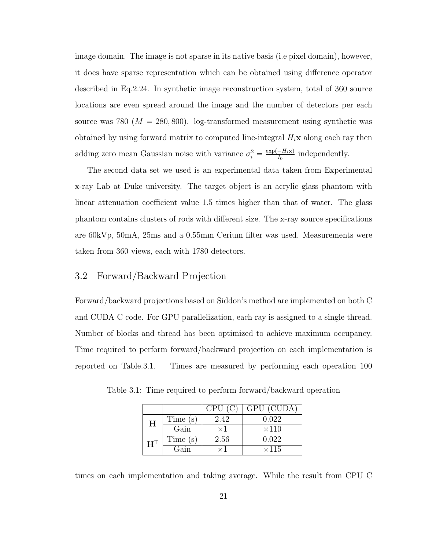image domain. The image is not sparse in its native basis (i.e pixel domain), however, it does have sparse representation which can be obtained using difference operator described in Eq[.2.24.](#page-16-0) In synthetic image reconstruction system, total of 360 source locations are even spread around the image and the number of detectors per each source was 780 ( $M = 280, 800$ ). log-transformed measurement using synthetic was obtained by using forward matrix to computed line-integral  $H_i\mathbf{x}$  along each ray then adding zero mean Gaussian noise with variance  $\sigma_i^2 = \frac{\exp(-H_i \mathbf{x})}{I_0}$  $\frac{-H_i(\mathbf{x})}{I_0}$  independently.

The second data set we used is an experimental data taken from Experimental x-ray Lab at Duke university. The target object is an acrylic glass phantom with linear attenuation coefficient value 1.5 times higher than that of water. The glass phantom contains clusters of rods with different size. The x-ray source specifications are 60kVp, 50mA, 25ms and a 0.55mm Cerium filter was used. Measurements were taken from 360 views, each with 1780 detectors.

#### <span id="page-29-0"></span>3.2 Forward/Backward Projection

Forward/backward projections based on Siddon's method are implemented on both C and CUDA C code. For GPU parallelization, each ray is assigned to a single thread. Number of blocks and thread has been optimized to achieve maximum occupancy. Time required to perform forward/backward projection on each implementation is reported on Table[.3.1.](#page-29-1) Times are measured by performing each operation 100

<span id="page-29-1"></span>

|                     |            | CPU(C)     | GPU (CUDA)   |
|---------------------|------------|------------|--------------|
| H                   | Time(s)    | 2.42       | 0.022        |
|                     | Gain       | $\times 1$ | $\times$ 110 |
| $\mathbf{H}^{\top}$ | Time $(s)$ | 2.56       | 0.022        |
|                     | Gain       | $\times$ 1 | $\times$ 115 |

Table 3.1: Time required to perform forward/backward operation

times on each implementation and taking average. While the result from CPU C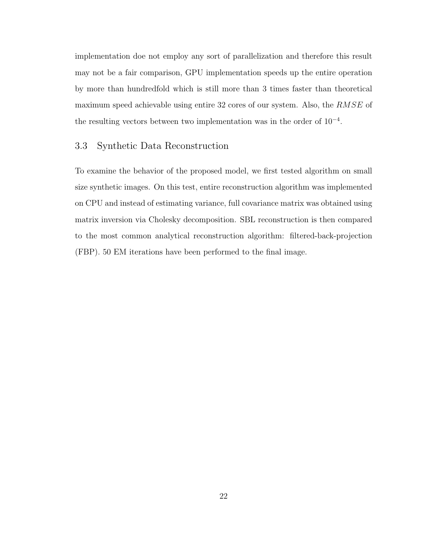implementation doe not employ any sort of parallelization and therefore this result may not be a fair comparison, GPU implementation speeds up the entire operation by more than hundredfold which is still more than 3 times faster than theoretical maximum speed achievable using entire 32 cores of our system. Also, the RMSE of the resulting vectors between two implementation was in the order of  $10^{-4}$ .

#### <span id="page-30-0"></span>3.3 Synthetic Data Reconstruction

To examine the behavior of the proposed model, we first tested algorithm on small size synthetic images. On this test, entire reconstruction algorithm was implemented on CPU and instead of estimating variance, full covariance matrix was obtained using matrix inversion via Cholesky decomposition. SBL reconstruction is then compared to the most common analytical reconstruction algorithm: filtered-back-projection (FBP). 50 EM iterations have been performed to the final image.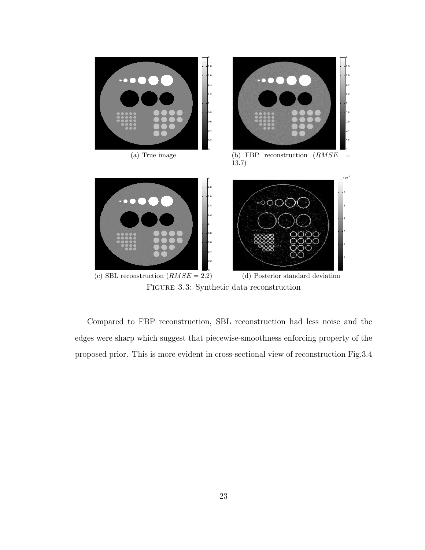

<span id="page-31-0"></span>Figure 3.3: Synthetic data reconstruction

Compared to FBP reconstruction, SBL reconstruction had less noise and the edges were sharp which suggest that piecewise-smoothness enforcing property of the proposed prior. This is more evident in cross-sectional view of reconstruction Fig[.3.4](#page-32-0)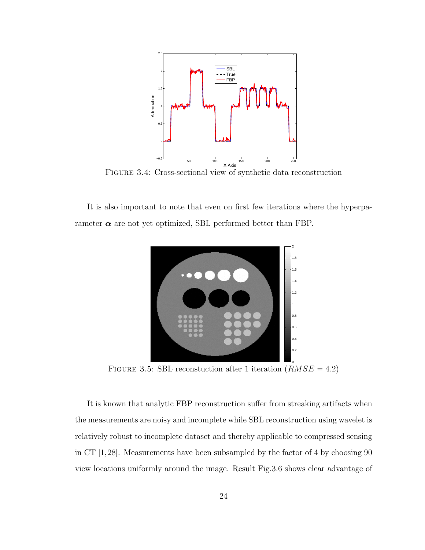

<span id="page-32-0"></span>Figure 3.4: Cross-sectional view of synthetic data reconstruction

It is also important to note that even on first few iterations where the hyperparameter  $\alpha$  are not yet optimized, SBL performed better than FBP.



<span id="page-32-1"></span>FIGURE 3.5: SBL reconstuction after 1 iteration  $(RMSE = 4.2)$ 

It is known that analytic FBP reconstruction suffer from streaking artifacts when the measurements are noisy and incomplete while SBL reconstruction using wavelet is relatively robust to incomplete dataset and thereby applicable to compressed sensing in CT [\[1,](#page-42-1)[28\]](#page-44-3). Measurements have been subsampled by the factor of 4 by choosing 90 view locations uniformly around the image. Result Fig[.3.6](#page-33-1) shows clear advantage of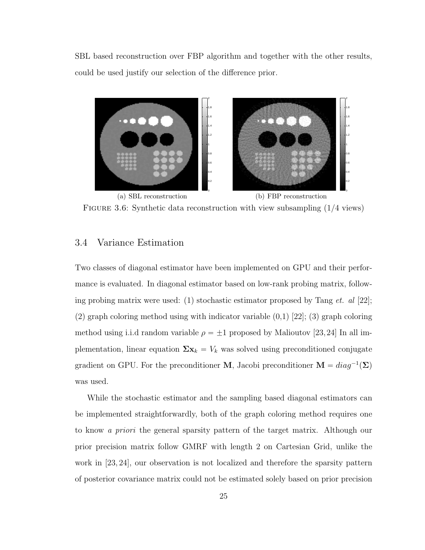SBL based reconstruction over FBP algorithm and together with the other results, could be used justify our selection of the difference prior.



<span id="page-33-1"></span>FIGURE 3.6: Synthetic data reconstruction with view subsampling  $(1/4 \text{ views})$ 

#### <span id="page-33-0"></span>3.4 Variance Estimation

Two classes of diagonal estimator have been implemented on GPU and their performance is evaluated. In diagonal estimator based on low-rank probing matrix, following probing matrix were used: (1) stochastic estimator proposed by Tang *et. al* [\[22\]](#page-43-8);  $(2)$  graph coloring method using with indicator variable  $(0,1)$  [\[22\]](#page-43-8); (3) graph coloring method using i.i.d random variable  $\rho = \pm 1$  proposed by Malioutov [\[23,](#page-43-10)[24\]](#page-43-9) In all implementation, linear equation  $\Sigma \mathbf{x}_k = V_k$  was solved using preconditioned conjugate gradient on GPU. For the preconditioner **M**, Jacobi preconditioner **M** =  $diag^{-1}(\Sigma)$ was used.

While the stochastic estimator and the sampling based diagonal estimators can be implemented straightforwardly, both of the graph coloring method requires one to know a priori the general sparsity pattern of the target matrix. Although our prior precision matrix follow GMRF with length 2 on Cartesian Grid, unlike the work in [\[23,](#page-43-10) [24\]](#page-43-9), our observation is not localized and therefore the sparsity pattern of posterior covariance matrix could not be estimated solely based on prior precision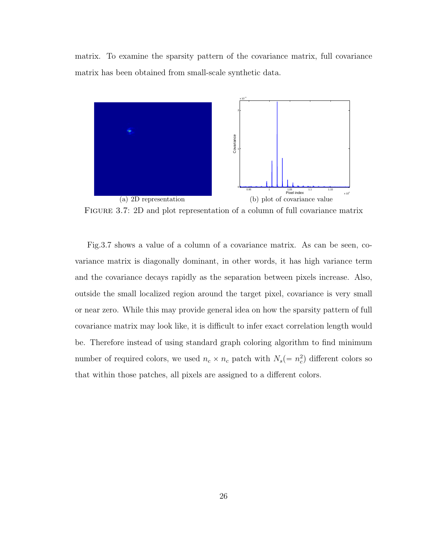matrix. To examine the sparsity pattern of the covariance matrix, full covariance matrix has been obtained from small-scale synthetic data.



<span id="page-34-0"></span>Figure 3.7: 2D and plot representation of a column of full covariance matrix

Fig[.3.7](#page-34-0) shows a value of a column of a covariance matrix. As can be seen, covariance matrix is diagonally dominant, in other words, it has high variance term and the covariance decays rapidly as the separation between pixels increase. Also, outside the small localized region around the target pixel, covariance is very small or near zero. While this may provide general idea on how the sparsity pattern of full covariance matrix may look like, it is difficult to infer exact correlation length would be. Therefore instead of using standard graph coloring algorithm to find minimum number of required colors, we used  $n_c \times n_c$  patch with  $N_s (= n_c^2)$  different colors so that within those patches, all pixels are assigned to a different colors.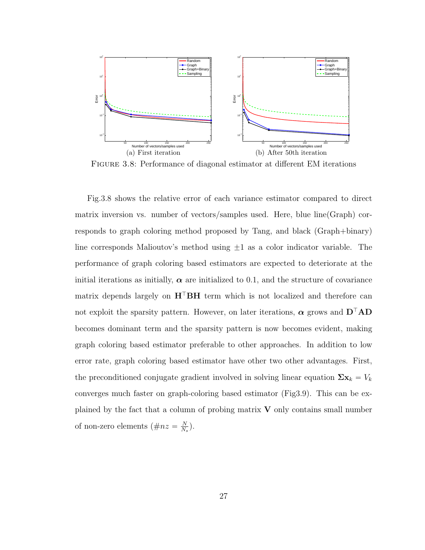

<span id="page-35-0"></span>Figure 3.8: Performance of diagonal estimator at different EM iterations

Fig[.3.8](#page-35-0) shows the relative error of each variance estimator compared to direct matrix inversion vs. number of vectors/samples used. Here, blue line(Graph) corresponds to graph coloring method proposed by Tang, and black (Graph+binary) line corresponds Malioutov's method using  $\pm 1$  as a color indicator variable. The performance of graph coloring based estimators are expected to deteriorate at the initial iterations as initially,  $\alpha$  are initialized to 0.1, and the structure of covariance matrix depends largely on  $H<sup>+</sup>BH$  term which is not localized and therefore can not exploit the sparsity pattern. However, on later iterations,  $\alpha$  grows and  $\mathbf{D}^\top \mathbf{A} \mathbf{D}$ becomes dominant term and the sparsity pattern is now becomes evident, making graph coloring based estimator preferable to other approaches. In addition to low error rate, graph coloring based estimator have other two other advantages. First, the preconditioned conjugate gradient involved in solving linear equation  $\Sigma \mathbf{x}_k = V_k$ converges much faster on graph-coloring based estimator (Fi[g3.9\)](#page-36-0). This can be explained by the fact that a column of probing matrix  $\bf{V}$  only contains small number of non-zero elements ( $\#nz = \frac{N}{N}$  $\frac{N}{N_s}$ .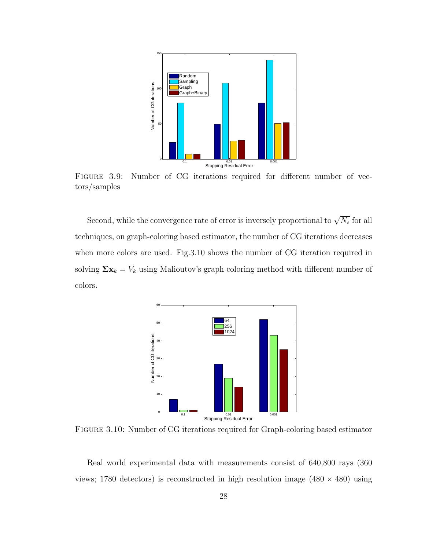

<span id="page-36-0"></span>FIGURE 3.9: Number of CG iterations required for different number of vectors/samples

Second, while the convergence rate of error is inversely proportional to  $\sqrt{N_s}$  for all techniques, on graph-coloring based estimator, the number of CG iterations decreases when more colors are used. Fig[.3.10](#page-36-1) shows the number of CG iteration required in solving  $\Sigma \mathbf{x}_k = V_k$  using Malioutov's graph coloring method with different number of colors.



<span id="page-36-1"></span>Figure 3.10: Number of CG iterations required for Graph-coloring based estimator

Real world experimental data with measurements consist of 640,800 rays (360 views; 1780 detectors) is reconstructed in high resolution image  $(480 \times 480)$  using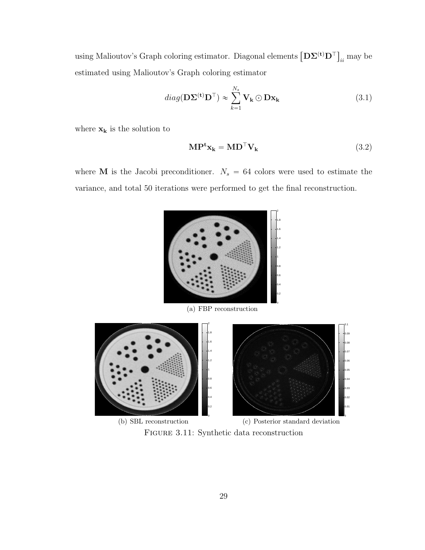using Malioutov's Graph coloring estimator. Diagonal elements  $\left[{\bf D}\Sigma^{({\bf t})}{\bf D}^\top\right]$ ‰  $_{ii}$  may be estimated using Malioutov's Graph coloring estimator

$$
diag(\mathbf{D}\mathbf{\Sigma}^{(\mathbf{t})}\mathbf{D}^{\top}) \approx \sum_{k=1}^{N_s} \mathbf{V_k} \odot \mathbf{Dx_k}
$$
 (3.1)

where  $\mathbf{x_k}$  is the solution to

$$
\mathbf{MP}^{\mathbf{t}}\mathbf{x}_{\mathbf{k}} = \mathbf{MD}^{\top}\mathbf{V}_{\mathbf{k}}\tag{3.2}
$$

where **M** is the Jacobi preconditioner.  $N_s = 64$  colors were used to estimate the variance, and total 50 iterations were performed to get the final reconstruction.



(a) FBP reconstruction



<span id="page-37-0"></span>Figure 3.11: Synthetic data reconstruction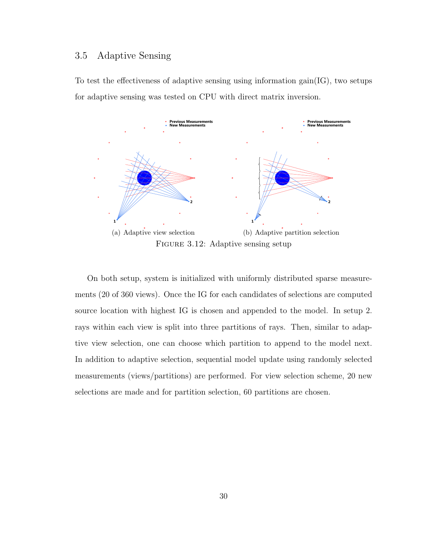#### <span id="page-38-0"></span>3.5 Adaptive Sensing

To test the effectiveness of adaptive sensing using information gain( $IG$ ), two setups for adaptive sensing was tested on CPU with direct matrix inversion.



<span id="page-38-1"></span>On both setup, system is initialized with uniformly distributed sparse measurements (20 of 360 views). Once the IG for each candidates of selections are computed source location with highest IG is chosen and appended to the model. In setup 2. rays within each view is split into three partitions of rays. Then, similar to adaptive view selection, one can choose which partition to append to the model next. In addition to adaptive selection, sequential model update using randomly selected measurements (views/partitions) are performed. For view selection scheme, 20 new selections are made and for partition selection, 60 partitions are chosen.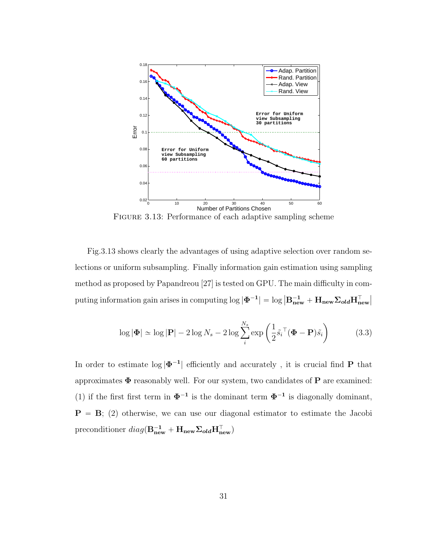

<span id="page-39-0"></span>FIGURE 3.13: Performance of each adaptive sampling scheme

Fig[.3.13](#page-39-0) shows clearly the advantages of using adaptive selection over random selections or uniform subsampling. Finally information gain estimation using sampling method as proposed by Papandreou [\[27\]](#page-44-2) is tested on GPU. The main difficulty in computing information gain arises in computing  $\log |\Phi^{-1}| = \log$  $\rm \left|B^{-1}_{new}+H_{new}\Sigma_{old}H_{new}^{\top}\right.$ ˇ ˇ

$$
\log |\mathbf{\Phi}| \simeq \log |\mathbf{P}| - 2 \log N_s - 2 \log \sum_{i}^{N_s} \exp \left( \frac{1}{2} \tilde{s}_i^{\top} (\mathbf{\Phi} - \mathbf{P}) \tilde{s}_i \right) \tag{3.3}
$$

In order to estimate  $\log |\Phi^{-1}|$  efficiently and accurately, it is crucial find **P** that approximates  $\Phi$  reasonably well. For our system, two candidates of  $P$  are examined: (1) if the first first term in  $\Phi^{-1}$  is the dominant term  $\Phi^{-1}$  is diagonally dominant,  $P = B$ ; (2) otherwise, we can use our diagonal estimator to estimate the Jacobi preconditioner  $diag(\mathbf{B}_{\text{new}}^{-1} + \mathbf{H}_{\text{new}} \Sigma_{old} \mathbf{H}_{\text{new}}^{\top})$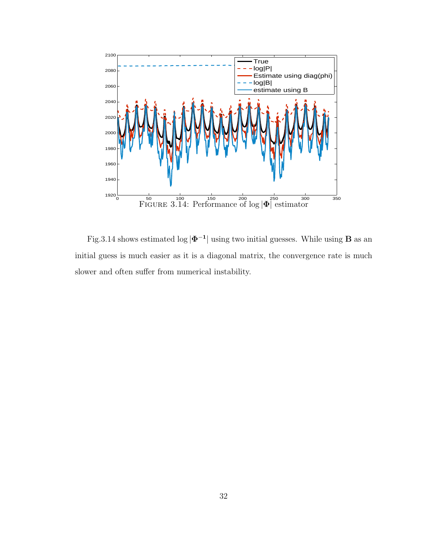

<span id="page-40-0"></span>Fig[.3.14](#page-40-0) shows estimated  $\log |\Phi^{-1}|$  using two initial guesses. While using **B** as an initial guess is much easier as it is a diagonal matrix, the convergence rate is much slower and often suffer from numerical instability.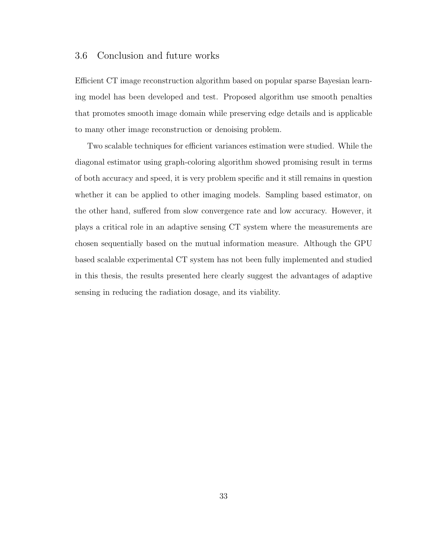#### <span id="page-41-0"></span>3.6 Conclusion and future works

Efficient CT image reconstruction algorithm based on popular sparse Bayesian learning model has been developed and test. Proposed algorithm use smooth penalties that promotes smooth image domain while preserving edge details and is applicable to many other image reconstruction or denoising problem.

Two scalable techniques for efficient variances estimation were studied. While the diagonal estimator using graph-coloring algorithm showed promising result in terms of both accuracy and speed, it is very problem specific and it still remains in question whether it can be applied to other imaging models. Sampling based estimator, on the other hand, suffered from slow convergence rate and low accuracy. However, it plays a critical role in an adaptive sensing CT system where the measurements are chosen sequentially based on the mutual information measure. Although the GPU based scalable experimental CT system has not been fully implemented and studied in this thesis, the results presented here clearly suggest the advantages of adaptive sensing in reducing the radiation dosage, and its viability.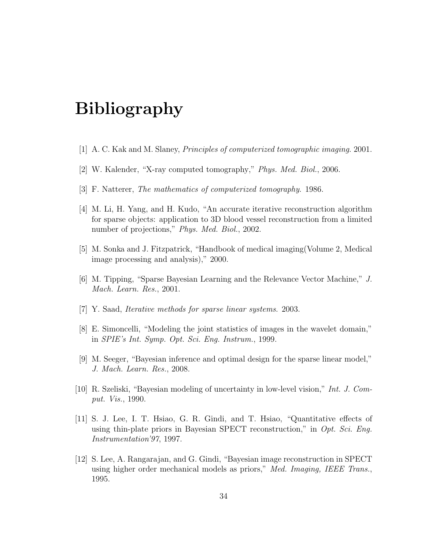## <span id="page-42-0"></span>Bibliography

- <span id="page-42-1"></span>[1] A. C. Kak and M. Slaney, Principles of computerized tomographic imaging. 2001.
- <span id="page-42-2"></span>[2] W. Kalender, "X-ray computed tomography," Phys. Med. Biol., 2006.
- <span id="page-42-3"></span>[3] F. Natterer, The mathematics of computerized tomography. 1986.
- <span id="page-42-4"></span>[4] M. Li, H. Yang, and H. Kudo, "An accurate iterative reconstruction algorithm for sparse objects: application to 3D blood vessel reconstruction from a limited number of projections," *Phys. Med. Biol.*, 2002.
- <span id="page-42-5"></span>[5] M. Sonka and J. Fitzpatrick, "Handbook of medical imaging(Volume 2, Medical image processing and analysis)," 2000.
- <span id="page-42-6"></span>[6] M. Tipping, "Sparse Bayesian Learning and the Relevance Vector Machine," J. Mach. Learn. Res., 2001.
- <span id="page-42-7"></span>[7] Y. Saad, Iterative methods for sparse linear systems. 2003.
- <span id="page-42-8"></span>[8] E. Simoncelli, "Modeling the joint statistics of images in the wavelet domain," in SPIE's Int. Symp. Opt. Sci. Eng. Instrum., 1999.
- <span id="page-42-9"></span>[9] M. Seeger, "Bayesian inference and optimal design for the sparse linear model," J. Mach. Learn. Res., 2008.
- <span id="page-42-10"></span>[10] R. Szeliski, "Bayesian modeling of uncertainty in low-level vision," Int. J. Comput. Vis., 1990.
- <span id="page-42-11"></span>[11] S. J. Lee, I. T. Hsiao, G. R. Gindi, and T. Hsiao, "Quantitative effects of using thin-plate priors in Bayesian SPECT reconstruction," in  $Opt.$  Sci. Eng. Instrumentation'97, 1997.
- <span id="page-42-12"></span>[12] S. Lee, A. Rangarajan, and G. Gindi, "Bayesian image reconstruction in SPECT using higher order mechanical models as priors," Med. Imaging, IEEE Trans., 1995.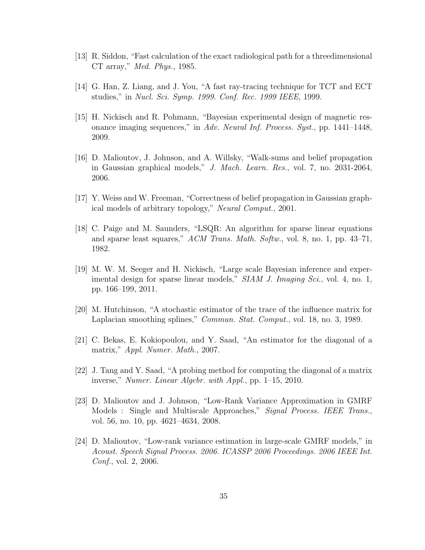- <span id="page-43-0"></span>[13] R. Siddon, "Fast calculation of the exact radiological path for a threedimensional CT array," Med. Phys., 1985.
- <span id="page-43-1"></span>[14] G. Han, Z. Liang, and J. You, "A fast ray-tracing technique for TCT and ECT studies," in Nucl. Sci. Symp. 1999. Conf. Rec. 1999 IEEE, 1999.
- <span id="page-43-2"></span>[15] H. Nickisch and R. Pohmann, "Bayesian experimental design of magnetic resonance imaging sequences," in Adv. Neural Inf. Process. Syst., pp. 1441–1448, 2009.
- <span id="page-43-3"></span>[16] D. Malioutov, J. Johnson, and A. Willsky, "Walk-sums and belief propagation in Gaussian graphical models," J. Mach. Learn. Res., vol. 7, no. 2031-2064, 2006.
- <span id="page-43-4"></span>[17] Y. Weiss and W. Freeman, "Correctness of belief propagation in Gaussian graphical models of arbitrary topology," Neural Comput., 2001.
- <span id="page-43-5"></span>[18] C. Paige and M. Saunders, "LSQR: An algorithm for sparse linear equations and sparse least squares,"  $ACM$  Trans. Math. Softw., vol. 8, no. 1, pp. 43–71, 1982.
- <span id="page-43-6"></span>[19] M. W. M. Seeger and H. Nickisch, "Large scale Bayesian inference and experimental design for sparse linear models," SIAM J. Imaging Sci., vol. 4, no. 1, pp. 166–199, 2011.
- <span id="page-43-7"></span>[20] M. Hutchinson, "A stochastic estimator of the trace of the influence matrix for Laplacian smoothing splines," *Commun. Stat. Comput.*, vol. 18, no. 3, 1989.
- [21] C. Bekas, E. Kokiopoulou, and Y. Saad, "An estimator for the diagonal of a matrix," Appl. Numer. Math., 2007.
- <span id="page-43-8"></span>[22] J. Tang and Y. Saad, "A probing method for computing the diagonal of a matrix inverse," Numer. Linear Algebr. with Appl., pp. 1–15, 2010.
- <span id="page-43-10"></span>[23] D. Malioutov and J. Johnson, "Low-Rank Variance Approximation in GMRF Models : Single and Multiscale Approaches," Signal Process. IEEE Trans., vol. 56, no. 10, pp. 4621–4634, 2008.
- <span id="page-43-9"></span>[24] D. Malioutov, "Low-rank variance estimation in large-scale GMRF models," in Acoust. Speech Signal Process. 2006. ICASSP 2006 Proceedings. 2006 IEEE Int. Conf., vol. 2, 2006.